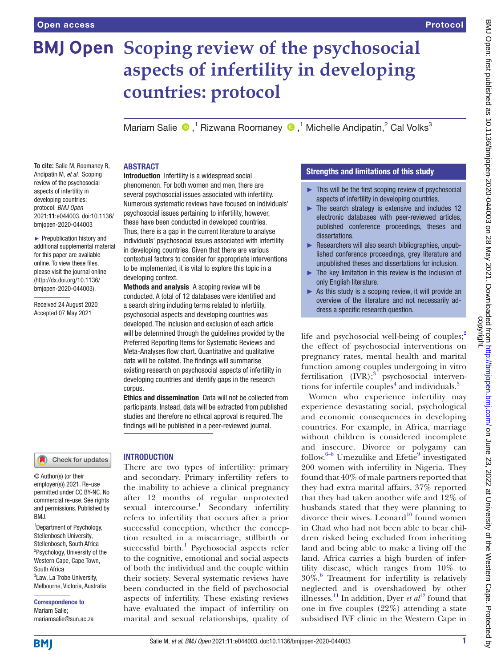# **BMJ Open** Scoping review of the psychosocial **aspects of infertility in developing countries: protocol**

Mariam Salie  $\bigcirc$ ,<sup>1</sup> Rizwana Roomaney  $\bigcirc$ ,<sup>1</sup> Michelle Andipatin,<sup>2</sup> Cal Volks<sup>3</sup>

#### **To cite:** Salie M, Roomaney R, Andipatin M, *et al*. Scoping review of the psychosocial aspects of infertility in developing countries: protocol. *BMJ Open* 2021;11:e044003. doi:10.1136/

► Prepublication history and additional supplemental material for this paper are available online. To view these files, please visit the journal online [\(http://dx.doi.org/10.1136/](http://dx.doi.org/10.1136/bmjopen-2020-044003) [bmjopen-2020-044003](http://dx.doi.org/10.1136/bmjopen-2020-044003)).

bmjopen-2020-044003

Received 24 August 2020 Accepted 07 May 2021

## ABSTRACT

Introduction Infertility is a widespread social phenomenon. For both women and men, there are several psychosocial issues associated with infertility. Numerous systematic reviews have focused on individuals' psychosocial issues pertaining to infertility, however, these have been conducted in developed countries. Thus, there is a gap in the current literature to analyse individuals' psychosocial issues associated with infertility in developing countries. Given that there are various contextual factors to consider for appropriate interventions to be implemented, it is vital to explore this topic in a developing context.

Methods and analysis A scoping review will be conducted. A total of 12 databases were identified and a search string including terms related to infertility, psychosocial aspects and developing countries was developed. The inclusion and exclusion of each article will be determined through the guidelines provided by the Preferred Reporting Items for Systematic Reviews and Meta-Analyses flow chart. Quantitative and qualitative data will be collated. The findings will summarise existing research on psychosocial aspects of infertility in developing countries and identify gaps in the research corpus.

Ethics and dissemination Data will not be collected from participants. Instead, data will be extracted from published studies and therefore no ethical approval is required. The findings will be published in a peer-reviewed journal.

# Check for updates

© Author(s) (or their employer(s)) 2021. Re-use permitted under CC BY-NC. No commercial re-use. See rights and permissions. Published by BMJ.

1 Department of Psychology, Stellenbosch University, Stellenbosch, South Africa <sup>2</sup>Psychology, University of the Western Cape, Cape Town, South Africa <sup>3</sup> Law, La Trobe University, Melbourne, Victoria, Australia

Correspondence to Mariam Salie;

mariamsalie@sun.ac.za

# INTRODUCTION

There are two types of infertility: primary and secondary. Primary infertility refers to the inability to achieve a clinical pregnancy after 12 months of regular unprotected sexual intercourse.<sup>[1](#page-3-0)</sup> Secondary infertility refers to infertility that occurs after a prior successful conception, whether the conception resulted in a miscarriage, stillbirth or successful birth.<sup>[1](#page-3-0)</sup> Psychosocial aspects refer to the cognitive, emotional and social aspects of both the individual and the couple within their society. Several systematic reviews have been conducted in the field of psychosocial aspects of infertility. These existing reviews have evaluated the impact of infertility on marital and sexual relationships, quality of

## Strengths and limitations of this study

- ► This will be the first scoping review of psychosocial aspects of infertility in developing countries.
- $\blacktriangleright$  The search strategy is extensive and includes 12 electronic databases with peer-reviewed articles, published conference proceedings, theses and dissertations.
- ► Researchers will also search bibliographies, unpublished conference proceedings, grey literature and unpublished theses and dissertations for inclusion.
- ► The key limitation in this review is the inclusion of only English literature.
- $\triangleright$  As this study is a scoping review, it will provide an overview of the literature and not necessarily address a specific research question.

life and psychosocial well-being of couples; $\frac{2}{3}$ the effect of psychosocial interventions on pregnancy rates, mental health and marital function among couples undergoing in vitro fertilisation  $(IVR)$ ;<sup>[3](#page-3-2)</sup> psychosocial interventions for infertile couples<sup>4</sup> and individuals.<sup>5</sup>

Women who experience infertility may experience devastating social, psychological and economic consequences in developing countries. For example, in Africa, marriage without children is considered incomplete and insecure. Divorce or polygamy can follow.<sup>6-8</sup> Umezulike and Efetie<sup>9</sup> investigated 200 women with infertility in Nigeria. They found that 40% of male partners reported that they had extra marital affairs, 37% reported that they had taken another wife and 12% of husbands stated that they were planning to divorce their wives. Leonard<sup>10</sup> found women in Chad who had not been able to bear children risked being excluded from inheriting land and being able to make a living off the land. Africa carries a high burden of infertility disease, which ranges from 10% to 30%[.6](#page-3-5) Treatment for infertility is relatively neglected and is overshadowed by other illnesses.<sup>[11](#page-3-8)</sup> In addition, Dyer *et al*<sup>[12](#page-3-9)</sup> found that one in five couples (22%) attending a state subsidised IVF clinic in the Western Cape in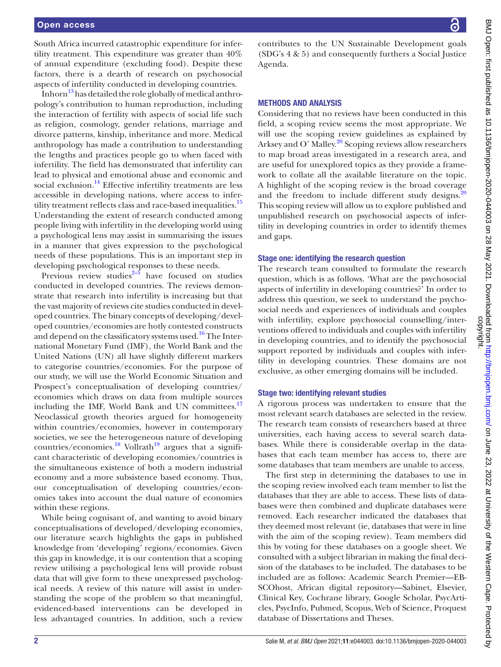### Open access

South Africa incurred catastrophic expenditure for infertility treatment. This expenditure was greater than 40% of annual expenditure (excluding food). Despite these factors, there is a dearth of research on psychosocial aspects of infertility conducted in developing countries.

Inhorn<sup>13</sup> has detailed the role globally of medical anthropology's contribution to human reproduction, including the interaction of fertility with aspects of social life such as religion, cosmology, gender relations, marriage and divorce patterns, kinship, inheritance and more. Medical anthropology has made a contribution to understanding the lengths and practices people go to when faced with infertility. The field has demonstrated that infertility can lead to physical and emotional abuse and economic and social exclusion.<sup>14</sup> Effective infertility treatments are less accessible in developing nations, where access to infer-tility treatment reflects class and race-based inequalities.<sup>[15](#page-3-12)</sup> Understanding the extent of research conducted among people living with infertility in the developing world using a psychological lens may assist in summarising the issues in a manner that gives expression to the psychological needs of these populations. This is an important step in developing psychological responses to these needs.

Previous review studies $2-5$  have focused on studies conducted in developed countries. The reviews demonstrate that research into infertility is increasing but that the vast majority of reviews cite studies conducted in developed countries. The binary concepts of developing/developed countries/economies are hotly contested constructs and depend on the classificatory systems used.<sup>16</sup> The International Monetary Fund (IMF), the World Bank and the United Nations (UN) all have slightly different markers to categorise countries/economies. For the purpose of our study, we will use the World Economic Situation and Prospect's conceptualisation of developing countries/ economies which draws on data from multiple sources including the IMF, World Bank and UN committees.<sup>17</sup> Neoclassical growth theories argued for homogeneity within countries/economies, however in contemporary societies, we see the heterogeneous nature of developing countries/economies.<sup>[18](#page-3-15)</sup> Vollrath<sup>19</sup> argues that a significant characteristic of developing economies/countries is the simultaneous existence of both a modern industrial economy and a more subsistence based economy. Thus, our conceptualisation of developing countries/economies takes into account the dual nature of economies within these regions.

While being cognisant of, and wanting to avoid binary conceptualisations of developed/developing economies, our literature search highlights the gaps in published knowledge from 'developing' regions/economies. Given this gap in knowledge, it is our contention that a scoping review utilising a psychological lens will provide robust data that will give form to these unexpressed psychological needs. A review of this nature will assist in understanding the scope of the problem so that meaningful, evidenced-based interventions can be developed in less advantaged countries. In addition, such a review

contributes to the UN Sustainable Development goals (SDG's 4 & 5) and consequently furthers a Social Justice Agenda.

#### METHODS AND ANALYSIS

Considering that no reviews have been conducted in this field, a scoping review seems the most appropriate. We will use the scoping review guidelines as explained by Arksey and O' Malley.<sup>20</sup> Scoping reviews allow researchers to map broad areas investigated in a research area, and are useful for unexplored topics as they provide a framework to collate all the available literature on the topic. A highlight of the scoping review is the broad coverage and the freedom to include different study designs.<sup>[20](#page-3-17)</sup> This scoping review will allow us to explore published and unpublished research on psychosocial aspects of infertility in developing countries in order to identify themes and gaps.

#### Stage one: identifying the research question

The research team consulted to formulate the research question, which is as follows. 'What are the psychosocial aspects of infertility in developing countries?' In order to address this question, we seek to understand the psychosocial needs and experiences of individuals and couples with infertility, explore psychosocial counselling/interventions offered to individuals and couples with infertility in developing countries, and to identify the psychosocial support reported by individuals and couples with infertility in developing countries. These domains are not exclusive, as other emerging domains will be included.

### Stage two: identifying relevant studies

A rigorous process was undertaken to ensure that the most relevant search databases are selected in the review. The research team consists of researchers based at three universities, each having access to several search databases. While there is considerable overlap in the databases that each team member has access to, there are some databases that team members are unable to access.

The first step in determining the databases to use in the scoping review involved each team member to list the databases that they are able to access. These lists of databases were then combined and duplicate databases were removed. Each researcher indicated the databases that they deemed most relevant (ie, databases that were in line with the aim of the scoping review). Team members did this by voting for these databases on a google sheet. We consulted with a subject librarian in making the final decision of the databases to be included. The databases to be included are as follows: Academic Search Premier—EB-SCOhost, African digital repository—Sabinet, Elsevier, Clinical Key, Cochrane library, Google Scholar, PsycArticles, PsycInfo, Pubmed, Scopus, Web of Science, Proquest database of Dissertations and Theses.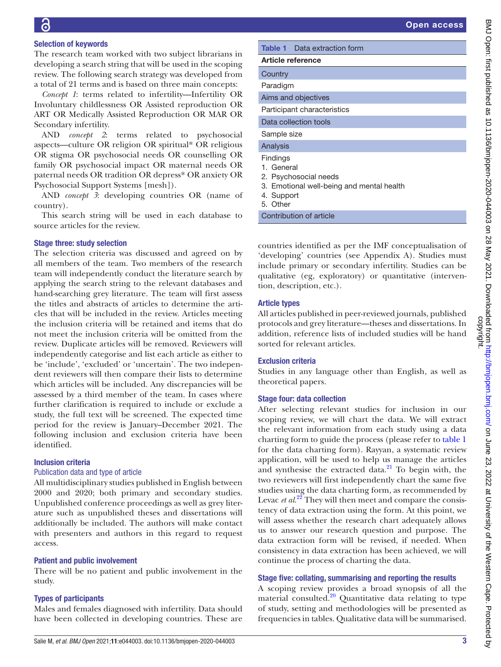## Selection of keywords

The research team worked with two subject librarians in developing a search string that will be used in the scoping review. The following search strategy was developed from a total of 21 terms and is based on three main concepts:

*Concept 1*: terms related to infertility—Infertility OR Involuntary childlessness OR Assisted reproduction OR ART OR Medically Assisted Reproduction OR MAR OR Secondary infertility.

AND *concept 2*: terms related to psychosocial aspects—culture OR religion OR spiritual\* OR religious OR stigma OR psychosocial needs OR counselling OR family OR psychosocial impact OR maternal needs OR paternal needs OR tradition OR depress\* OR anxiety OR Psychosocial Support Systems [mesh]).

AND *concept 3*: developing countries OR (name of country).

This search string will be used in each database to source articles for the review.

## Stage three: study selection

The selection criteria was discussed and agreed on by all members of the team. Two members of the research team will independently conduct the literature search by applying the search string to the relevant databases and hand-searching grey literature. The team will first assess the titles and abstracts of articles to determine the articles that will be included in the review. Articles meeting the inclusion criteria will be retained and items that do not meet the inclusion criteria will be omitted from the review. Duplicate articles will be removed. Reviewers will independently categorise and list each article as either to be 'include', 'excluded' or 'uncertain'. The two independent reviewers will then compare their lists to determine which articles will be included. Any discrepancies will be assessed by a third member of the team. In cases where further clarification is required to include or exclude a study, the full text will be screened. The expected time period for the review is January–December 2021. The following inclusion and exclusion criteria have been identified.

### Inclusion criteria

### Publication data and type of article

All multidisciplinary studies published in English between 2000 and 2020; both primary and secondary studies. Unpublished conference proceedings as well as grey literature such as unpublished theses and dissertations will additionally be included. The authors will make contact with presenters and authors in this regard to request access.

## Patient and public involvement

There will be no patient and public involvement in the study.

## Types of participants

Males and females diagnosed with infertility. Data should have been collected in developing countries. These are

<span id="page-2-0"></span>

| <b>Table 1</b> Data extraction form                                                                                           |
|-------------------------------------------------------------------------------------------------------------------------------|
| <b>Article reference</b>                                                                                                      |
| Country                                                                                                                       |
| Paradigm                                                                                                                      |
| Aims and objectives                                                                                                           |
| Participant characteristics                                                                                                   |
| Data collection tools                                                                                                         |
| Sample size                                                                                                                   |
| Analysis                                                                                                                      |
| <b>Findings</b><br>1. General<br>2. Psychosocial needs<br>3. Emotional well-being and mental health<br>4. Support<br>5. Other |

Contribution of article

countries identified as per the IMF conceptualisation of 'developing' countries (see Appendix A). Studies must include primary or secondary infertility. Studies can be qualitative (eg, exploratory) or quantitative (intervention, description, etc.).

## Article types

All articles published in peer-reviewed journals, published protocols and grey literature—theses and dissertations. In addition, reference lists of included studies will be hand sorted for relevant articles.

## Exclusion criteria

Studies in any language other than English, as well as theoretical papers.

## Stage four: data collection

After selecting relevant studies for inclusion in our scoping review, we will chart the data. We will extract the relevant information from each study using a data charting form to guide the process (please refer to [table](#page-2-0) 1 for the data charting form). Rayyan, a systematic review application, will be used to help us manage the articles and synthesise the extracted data. $^{21}$  To begin with, the two reviewers will first independently chart the same five studies using the data charting form, as recommended by Levac *et al.*<sup>22</sup> They will then meet and compare the consistency of data extraction using the form. At this point, we will assess whether the research chart adequately allows us to answer our research question and purpose. The data extraction form will be revised, if needed. When consistency in data extraction has been achieved, we will continue the process of charting the data.

## Stage five: collating, summarising and reporting the results

A scoping review provides a broad synopsis of all the material consulted.<sup>20</sup> Quantitative data relating to type of study, setting and methodologies will be presented as frequencies in tables. Qualitative data will be summarised.